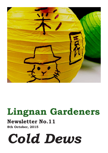

## **Lingnan Gardeners**

## **Newsletter No.11**

**8th October, 2015**

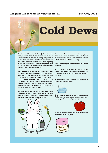### **Lingnan Garderners Newsletter No.11 8th Oct, 2015**



**The term of "Cold Dews" (hanlu), the 17th solar term, means that the temperature in this period is lower than the temperature during the period of White Dews which was introduced in our previous newsletter.The weather after White Dews is getting cooler and dews start to appear in this period. With the cooler weather in Cold Dews, dews become heavier, almost solidifying into frost.**

**The part of Nan Mountains and the northern area in China have already entered into late autumn with white clouds, red leaves and occasional early frost.Winter is coming very soon or has come to the northeast and northwest China. Winter is coming very soon or has come to the northeast and northwest China. In the southern area, the autumn atmosphere is getting stronger with the silence of cicadas and the withering of lotus.**

**Since we should not expose our body after White Dews and our feet after Cold Dews, we should wear long sleeves during the period after White Dews and keep our feet warm after Cold Dews.**



**Dry air in autumn can cause autumn dryness such as the dryness of skin, nasal cavity and respiratory tract and thus we should have a diet which can nourish the Yin and lung.**

**Here are some tips for the prevention of autumn dryness:** 

1. Eat more soft and moist food for **strengthening the body and less spicy food for preventing from accumulating too much heat in the body.**

**2. Keep the indoor humidity up by placing a humidifier or an aquarium.** 



**3. Drink more water and take more soup and fruits such as snow pears, bananas, melons, apples, persimmons and grapes.**



**4. Put on moisture cream for skin protection and prevention of skin dryness.**

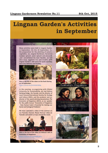## **Lingnan Garden's Activities in September**

**Many activities were held in Lingnan Garden in September. On the 10 September, for the preparation for the planting of autumn vegetables, we, Lingnan Gardeners, harvested malabar spinach, water spinach and amaranth ,and consolidated the land. Besides, we had okra soup, eggplant rice and noodles with Lingnan Garden's chili sauce for lunch and they were very delicious and healthy.**



**Here is the link of the video on the food sharing on 10 September: https://youtu.be/KUJi4A8rMMg**

**In the evening, co-organizing with Global University for Sustainability, we had Helena Norberg-Hodge, the founder and the director of Local Futures/International Society for Ecology and Culture (ISEC), and the producer and codirector of the award-winning documentary** *The Economics of Happiness* **(2011), as our speaker for the public lecture "Economics of Happiness - How Human Scale is Essential for Solving our Social and Ecological Problems".** 

**We have uploaded a video of the seminar on our Youtube channel. Please find our video on Youtube and watch it, if you missed the event.**



**Here is the link of the video on Helena's talk on Economics of Happiness: https://youtu.be/gsXf88fy8FU**





the Economics of Happiness



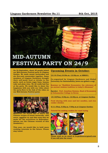## **MID-AUTUMN FESTIVAL PARTY ON 24/9**

**On 24 September, about 40 people joined our Mid-Autumn Festival party in Lingnan Garden. We made snowy mooncakes and ate five-nuts mooncakes together. Some members of Lingnan Gardeners brought their self-made food or drinks to the party, such as brown sugar buns, banana cake and plum wine. We all really had fun at the party. We would like to share the happiness with you with our video about the party.Here is the link of the video on our Mid-Autumn Festival party: https://youtu.be/BigDp1jl0KY**



**Moreover, we would like to share the Chinese recipes of snowy mooncake, chili sauce, eggplant ric and okra soup that we made for the activitives in September. (please see the Chinese version of this newsletter.)**

**This year, we would like to hold more cooking tutorials in the future. Please stay tuned.**

### **Upcoming Events in October:**

**13/10 (Tue),10:30a.m.-12:30p.m. at MBG01:** 

**Co-organized by Lingnan Gardeners and Global University for Sustainability [www.our-global-u.org]:**

**Seminar on "Buddhist Economics: the relevance of an ancient wisdom tradition to today's dilemmas"**

**Speaker: Prof. Jonathan Dawson, Head of Economics at Schumacher College in Devon**

**15/10(Thu), 5:30p.m.-12:30p.m. at Lingnan Garden:** 

**Food sharing with sour and hot noodles, and rice cooker chicken**

**5/11 (Thu), 5:30p.m.-7:00p.m.at Lingnan Garden:**

**Tutorial for making cookies for royal icying**



**Please send us an email at ln.gardeners@gmail.com if you will join the event.**